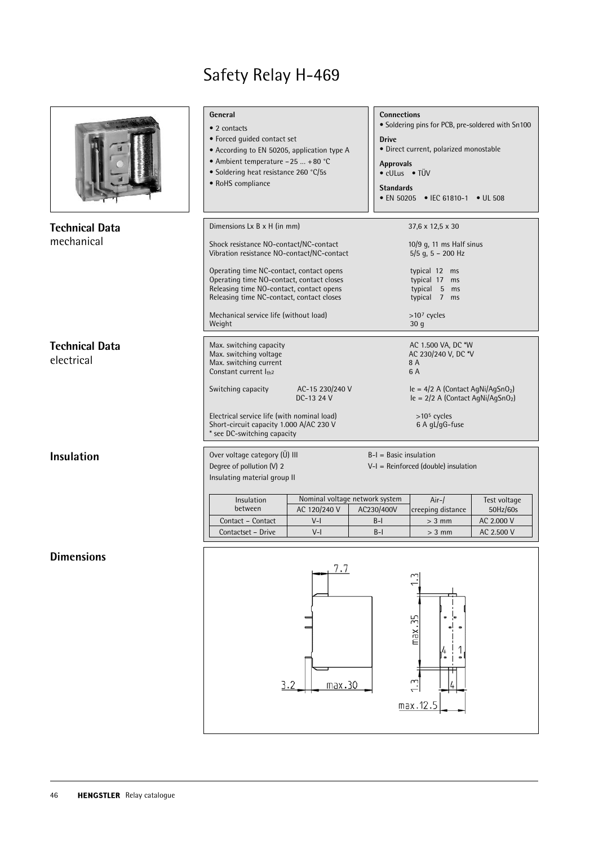|                                     | General<br>• 2 contacts<br>• Forced quided contact set<br>• According to EN 50205, application type A<br>• Ambient temperature -25  +80 °C<br>· Soldering heat resistance 260 °C/5s<br>• RoHS compliance                                                                                                                                                  | <b>Drive</b>                   | <b>Connections</b><br>• Soldering pins for PCB, pre-soldered with Sn100<br>· Direct current, polarized monostable<br><b>Approvals</b><br>• cULus • TÜV<br><b>Standards</b><br>• EN 50205 • IEC 61810-1 • UL 508 |                                                                                                                                                                                                  |                                                      |  |  |
|-------------------------------------|-----------------------------------------------------------------------------------------------------------------------------------------------------------------------------------------------------------------------------------------------------------------------------------------------------------------------------------------------------------|--------------------------------|-----------------------------------------------------------------------------------------------------------------------------------------------------------------------------------------------------------------|--------------------------------------------------------------------------------------------------------------------------------------------------------------------------------------------------|------------------------------------------------------|--|--|
| <b>Technical Data</b><br>mechanical | Dimensions Lx B x H (in mm)<br>Shock resistance NO-contact/NC-contact<br>Vibration resistance NO-contact/NC-contact<br>Operating time NC-contact, contact opens<br>Operating time NO-contact, contact closes<br>Releasing time NO-contact, contact opens<br>Releasing time NC-contact, contact closes<br>Mechanical service life (without load)<br>Weight |                                |                                                                                                                                                                                                                 | 37,6 x 12,5 x 30<br>10/9 g, 11 ms Half sinus<br>$5/5$ g, 5 - 200 Hz<br>typical 12 ms<br>typical 17 ms<br>typical 5 ms<br>typical 7 ms<br>$>107$ cycles<br>30 <sub>g</sub>                        |                                                      |  |  |
| <b>Technical Data</b><br>electrical | Max. switching capacity<br>Max. switching voltage<br>Max. switching current<br>Constant current Ith2<br>Switching capacity<br>Electrical service life (with nominal load)<br>Short-circuit capacity 1.000 A/AC 230 V<br>* see DC-switching capacity                                                                                                       | AC-15 230/240 V<br>DC-13 24 V  |                                                                                                                                                                                                                 | AC 1.500 VA, DC *W<br>AC 230/240 V, DC *V<br>8 A<br>6 A<br>$le = 4/2$ A (Contact AgNi/AgSnO <sub>2</sub> )<br>$le = 2/2$ A (Contact AgNi/AgSnO <sub>2</sub> )<br>$>105$ cycles<br>6 A gL/gG-fuse |                                                      |  |  |
| <b>Insulation</b>                   | Over voltage category (Ü) III<br>Degree of pollution (V) 2<br>Insulating material group II<br>Insulation<br>between<br>Contact - Contact<br>Contactset - Drive                                                                                                                                                                                            | AC 120/240 V<br>$V-I$<br>$V-I$ | $B-I = Basic insulation$<br>Nominal voltage network system<br>AC230/400V<br>$B-I$<br>$B-I$                                                                                                                      | $V-I = Reinforced (double) insulation$<br>$Air-/$<br>creeping distance<br>$> 3$ mm<br>$> 3$ mm                                                                                                   | Test voltage<br>50Hz/60s<br>AC 2.000 V<br>AC 2.500 V |  |  |
| <b>Dimensions</b>                   |                                                                                                                                                                                                                                                                                                                                                           | 7.7<br>3.2<br>max.30           |                                                                                                                                                                                                                 | max.35<br>4<br>max.12.5                                                                                                                                                                          |                                                      |  |  |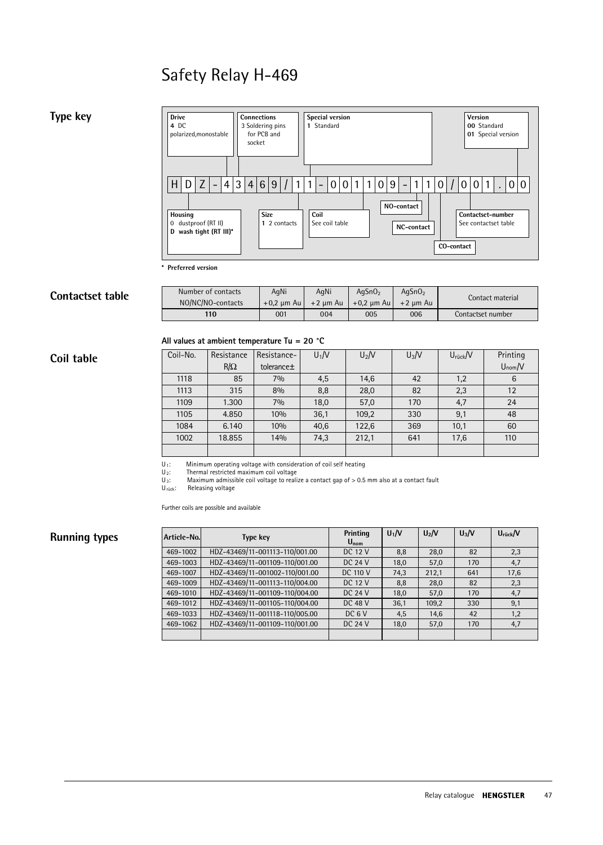



| Contactset table                                       | Number of contacts | AqNi         | AqNi       | AgSnO <sub>2</sub> | AgSnO <sub>2</sub> | Contact material  |  |  |
|--------------------------------------------------------|--------------------|--------------|------------|--------------------|--------------------|-------------------|--|--|
|                                                        | NO/NC/NO-contacts  | $+0.2$ µm Au | $+2$ um Au | $+0.2$ µm Au       | $+2$ um Au         |                   |  |  |
|                                                        | 110                | 001          | 004        | 005                | 006                | Contactset number |  |  |
| All values at ambient temperature Tu = 20 $^{\circ}$ C |                    |              |            |                    |                    |                   |  |  |

|            |                                                        | 110        | 001         | 004     | 005     | 006     | Contactset number |             |
|------------|--------------------------------------------------------|------------|-------------|---------|---------|---------|-------------------|-------------|
|            | All values at ambient temperature Tu = 20 $^{\circ}$ C |            |             |         |         |         |                   |             |
| Coil table | Coil-No.                                               | Resistance | Resistance- | $U_1/V$ | $U_2/V$ | $U_3/V$ | $U$ rück $/V$     | Printing    |
|            |                                                        | $R/\Omega$ | tolerance±  |         |         |         |                   | $U_{nom}/V$ |
|            | 1118                                                   | 85         | 7%          | 4,5     | 14,6    | 42      | 1,2               | 6           |
|            | 1113                                                   | 315        | 8%          | 8,8     | 28,0    | 82      | 2,3               | 12          |
|            | 1109                                                   | 1.300      | 7%          | 18,0    | 57,0    | 170     | 4,7               | 24          |
|            | 1105                                                   | 4.850      | 10%         | 36,1    | 109,2   | 330     | 9,1               | 48          |
|            | 1084                                                   | 6.140      | 10%         | 40,6    | 122,6   | 369     | 10,1              | 60          |
|            | 1002                                                   | 18.855     | 14%         | 74,3    | 212,1   | 641     | 17,6              | 110         |
|            |                                                        |            |             |         |         |         |                   |             |

 Minimum operating voltage with consideration of coil self heating  $\frac{1}{\frac{1}{\frac{1}{\cdots}}}}$ 

Thermal restricted maximum coil voltage

Maximum admissible coil voltage to realize a contact gap of > 0.5 mm also at a contact fault

U<sub>rück</sub>: Releasing voltage

# **Running types**

| Further coils are possible and available |                                |                       |       |          |         |                      |  |  |
|------------------------------------------|--------------------------------|-----------------------|-------|----------|---------|----------------------|--|--|
| Article-No.                              | <b>Type key</b>                | Printing<br>$U_{nom}$ | $U_1$ | $U_2$ /V | $U_3/V$ | $U_{\text{riick}}/V$ |  |  |
| 469-1002                                 | HDZ-43469/11-001113-110/001.00 | <b>DC 12 V</b>        | 8,8   | 28.0     | 82      | 2,3                  |  |  |
| 469-1003                                 | HDZ-43469/11-001109-110/001.00 | DC $24V$              | 18,0  | 57,0     | 170     | 4,7                  |  |  |
| 469-1007                                 | HDZ-43469/11-001002-110/001.00 | <b>DC 110 V</b>       | 74,3  | 212,1    | 641     | 17,6                 |  |  |
| 469-1009                                 | HDZ-43469/11-001113-110/004.00 | DC 12 V               | 8.8   | 28.0     | 82      | 2,3                  |  |  |
| 469-1010                                 | HDZ-43469/11-001109-110/004.00 | DC $24V$              | 18,0  | 57,0     | 170     | 4,7                  |  |  |
| 469-1012                                 | HDZ-43469/11-001105-110/004.00 | DC 48 V               | 36,1  | 109.2    | 330     | 9,1                  |  |  |
| 469-1033                                 | HDZ-43469/11-001118-110/005.00 | $DC$ 6 V              | 4,5   | 14.6     | 42      | 1,2                  |  |  |
| 469-1062                                 | HDZ-43469/11-001109-110/001.00 | DC $24V$              | 18,0  | 57.0     | 170     | 4,7                  |  |  |
|                                          |                                |                       |       |          |         |                      |  |  |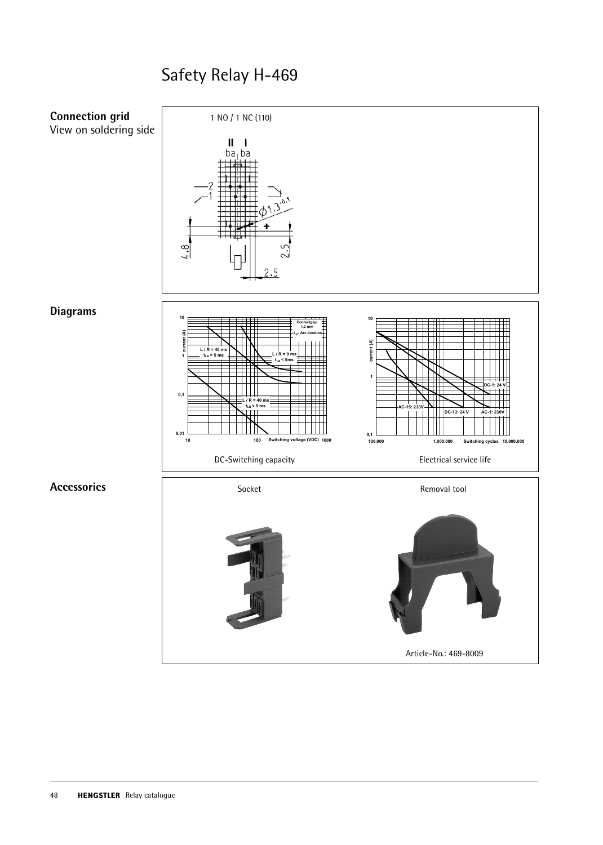

Article-No.: 469-8009